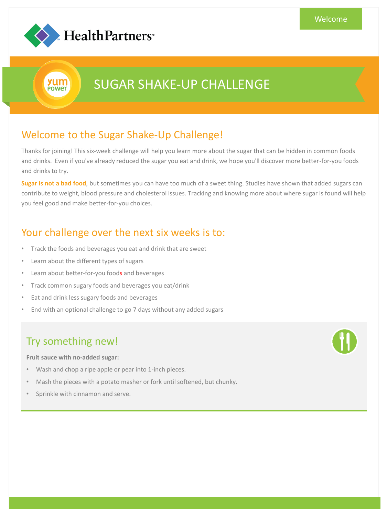

yum **POWEr** 

# SUGAR SHAKE-UP CHALLENGE

# Welcome to the Sugar Shake-Up Challenge!

Thanks for joining! This six-week challenge will help you learn more about the sugar that can be hidden in common foods and drinks. Even if you've already reduced the sugar you eat and drink, we hope you'll discover more better-for-you foods and drinks to try.

**Sugar is not a bad food**, but sometimes you can have too much of a sweet thing. Studies have shown that added sugars can contribute to weight, blood pressure and cholesterol issues. Tracking and knowing more about where sugar is found will help you feel good and make better-for-you choices.

### Your challenge over the next six weeks is to:

- Track the foods and beverages you eat and drink that are sweet
- Learn about the different types of sugars
- Learn about better-for-you foods and beverages
- Track common sugary foods and beverages you eat/drink
- Eat and drink less sugary foods and beverages
- End with an optional challenge to go 7 days without any added sugars

### Try something new!

**Fruit sauce with no-added sugar:** 

- Wash and chop a ripe apple or pear into 1-inch pieces.
- Mash the pieces with a potato masher or fork until softened, but chunky.
- Sprinkle with cinnamon and serve.